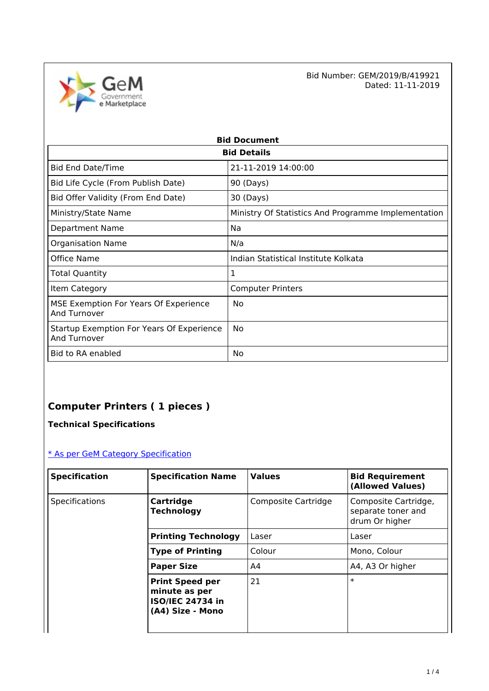

Bid Number: GEM/2019/B/419921<br>Dated: 11-11-2019 Dated: 11-11-2019

| <b>Bid Document</b>                                              |                                                     |  |  |
|------------------------------------------------------------------|-----------------------------------------------------|--|--|
| <b>Bid Details</b>                                               |                                                     |  |  |
| <b>Bid End Date/Time</b>                                         | 21-11-2019 14:00:00                                 |  |  |
| Bid Life Cycle (From Publish Date)                               | 90 (Days)                                           |  |  |
| Bid Offer Validity (From End Date)                               | 30 (Days)                                           |  |  |
| Ministry/State Name                                              | Ministry Of Statistics And Programme Implementation |  |  |
| <b>Department Name</b>                                           | Na                                                  |  |  |
| <b>Organisation Name</b>                                         | N/a                                                 |  |  |
| Office Name                                                      | Indian Statistical Institute Kolkata                |  |  |
| <b>Total Quantity</b>                                            | 1                                                   |  |  |
| Item Category                                                    | <b>Computer Printers</b>                            |  |  |
| MSE Exemption For Years Of Experience<br>And Turnover            | No                                                  |  |  |
| Startup Exemption For Years Of Experience<br><b>And Turnover</b> | No                                                  |  |  |
| Bid to RA enabled                                                | No                                                  |  |  |

# **Computer Printers ( 1 pieces )**

**Technical Specifications**

## [\\* As per GeM Category Specification](https://bidplus.gem.gov.in/bidding/bid/showCatalogue/n2vBgaKkW-hYaiZO47QaLZ6PDpphuAMqj7EAOEyxWyE)

| <b>Specification</b> | <b>Specification Name</b>                                                              | <b>Values</b>       | <b>Bid Requirement</b><br>(Allowed Values)                   |
|----------------------|----------------------------------------------------------------------------------------|---------------------|--------------------------------------------------------------|
| Specifications       | Cartridge<br><b>Technology</b>                                                         | Composite Cartridge | Composite Cartridge,<br>separate toner and<br>drum Or higher |
|                      | <b>Printing Technology</b>                                                             | Laser               | Laser                                                        |
|                      | <b>Type of Printing</b>                                                                | Colour              | Mono, Colour                                                 |
|                      | <b>Paper Size</b>                                                                      | A4                  | A4, A3 Or higher                                             |
|                      | <b>Print Speed per</b><br>minute as per<br><b>ISO/IEC 24734 in</b><br>(A4) Size - Mono | 21                  | $\ast$                                                       |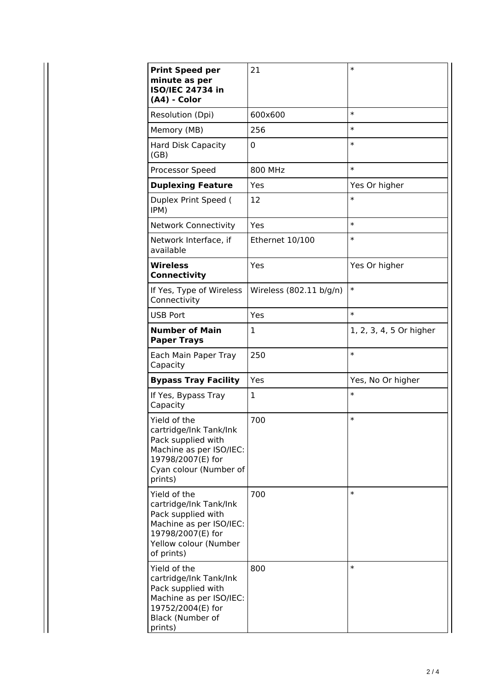| <b>Print Speed per</b><br>minute as per<br><b>ISO/IEC 24734 in</b><br>(A4) - Color                                                                  | 21                      | $\ast$                  |
|-----------------------------------------------------------------------------------------------------------------------------------------------------|-------------------------|-------------------------|
| Resolution (Dpi)                                                                                                                                    | 600x600                 | $\ast$                  |
| Memory (MB)                                                                                                                                         | 256                     | $\ast$                  |
| <b>Hard Disk Capacity</b><br>(GB)                                                                                                                   | $\Omega$                | $\ast$                  |
| Processor Speed                                                                                                                                     | 800 MHz                 | $\ast$                  |
| <b>Duplexing Feature</b>                                                                                                                            | Yes                     | Yes Or higher           |
| Duplex Print Speed (<br>IPM)                                                                                                                        | 12                      | $\ast$                  |
| <b>Network Connectivity</b>                                                                                                                         | Yes                     | $\ast$                  |
| Network Interface, if<br>available                                                                                                                  | Ethernet 10/100         | $\ast$                  |
| <b>Wireless</b><br><b>Connectivity</b>                                                                                                              | Yes                     | Yes Or higher           |
| If Yes, Type of Wireless<br>Connectivity                                                                                                            | Wireless (802.11 b/g/n) | $\ast$                  |
| <b>USB Port</b>                                                                                                                                     | Yes                     | $\ast$                  |
| <b>Number of Main</b><br><b>Paper Trays</b>                                                                                                         | 1                       | 1, 2, 3, 4, 5 Or higher |
| Each Main Paper Tray<br>Capacity                                                                                                                    | 250                     | $\ast$                  |
| <b>Bypass Tray Facility</b>                                                                                                                         | Yes                     | Yes, No Or higher       |
| If Yes, Bypass Tray<br>Capacity                                                                                                                     | 1                       | $\ast$                  |
| Yield of the<br>cartridge/Ink Tank/Ink<br>Pack supplied with<br>Machine as per ISO/IEC:<br>19798/2007(E) for<br>Cyan colour (Number of<br>prints)   | 700                     | $\ast$                  |
| Yield of the<br>cartridge/Ink Tank/Ink<br>Pack supplied with<br>Machine as per ISO/IEC:<br>19798/2007(E) for<br>Yellow colour (Number<br>of prints) | 700                     | $\ast$                  |
| Yield of the<br>cartridge/Ink Tank/Ink<br>Pack supplied with<br>Machine as per ISO/IEC:<br>19752/2004(E) for<br>Black (Number of<br>prints)         | 800                     | $\ast$                  |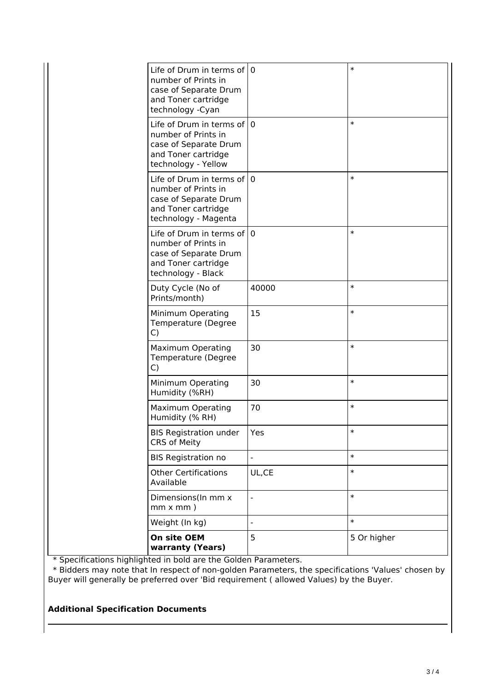| $\ast$<br>Life of Drum in terms of $ 0\rangle$<br>number of Prints in<br>case of Separate Drum<br>and Toner cartridge<br>technology - Cyan<br>$\ast$<br>Life of Drum in terms of $ 0\rangle$<br>number of Prints in<br>case of Separate Drum<br>and Toner cartridge<br>technology - Yellow<br>$\ast$<br>Life of Drum in terms of $ 0\rangle$<br>number of Prints in<br>case of Separate Drum<br>and Toner cartridge<br>technology - Magenta<br>$\ast$<br>Life of Drum in terms of 10<br>number of Prints in<br>case of Separate Drum<br>and Toner cartridge<br>technology - Black<br>$\ast$<br>Duty Cycle (No of<br>40000<br>Prints/month)<br>$\ast$<br>15<br>Minimum Operating<br>Temperature (Degree<br>C)<br>$\ast$<br>30<br><b>Maximum Operating</b><br>Temperature (Degree<br>C)<br>$\ast$<br>30<br>Minimum Operating<br>Humidity (%RH)<br>$\ast$<br>70<br><b>Maximum Operating</b><br>Humidity (% RH)<br><b>BIS Registration under</b><br>Yes<br>$\ast$<br><b>CRS of Meity</b><br>$\ast$<br><b>BIS Registration no</b><br>$\ast$<br><b>Other Certifications</b><br>UL,CE<br>Available<br>$\ast$<br>Dimensions(In mm x<br>$\overline{a}$<br>$mm \times mm$ )<br>$\ast$<br>Weight (In kg)<br>On site OEM<br>5<br>5 Or higher |                  |  |
|----------------------------------------------------------------------------------------------------------------------------------------------------------------------------------------------------------------------------------------------------------------------------------------------------------------------------------------------------------------------------------------------------------------------------------------------------------------------------------------------------------------------------------------------------------------------------------------------------------------------------------------------------------------------------------------------------------------------------------------------------------------------------------------------------------------------------------------------------------------------------------------------------------------------------------------------------------------------------------------------------------------------------------------------------------------------------------------------------------------------------------------------------------------------------------------------------------------------------------|------------------|--|
|                                                                                                                                                                                                                                                                                                                                                                                                                                                                                                                                                                                                                                                                                                                                                                                                                                                                                                                                                                                                                                                                                                                                                                                                                                  |                  |  |
|                                                                                                                                                                                                                                                                                                                                                                                                                                                                                                                                                                                                                                                                                                                                                                                                                                                                                                                                                                                                                                                                                                                                                                                                                                  |                  |  |
|                                                                                                                                                                                                                                                                                                                                                                                                                                                                                                                                                                                                                                                                                                                                                                                                                                                                                                                                                                                                                                                                                                                                                                                                                                  |                  |  |
|                                                                                                                                                                                                                                                                                                                                                                                                                                                                                                                                                                                                                                                                                                                                                                                                                                                                                                                                                                                                                                                                                                                                                                                                                                  |                  |  |
|                                                                                                                                                                                                                                                                                                                                                                                                                                                                                                                                                                                                                                                                                                                                                                                                                                                                                                                                                                                                                                                                                                                                                                                                                                  |                  |  |
|                                                                                                                                                                                                                                                                                                                                                                                                                                                                                                                                                                                                                                                                                                                                                                                                                                                                                                                                                                                                                                                                                                                                                                                                                                  |                  |  |
|                                                                                                                                                                                                                                                                                                                                                                                                                                                                                                                                                                                                                                                                                                                                                                                                                                                                                                                                                                                                                                                                                                                                                                                                                                  |                  |  |
|                                                                                                                                                                                                                                                                                                                                                                                                                                                                                                                                                                                                                                                                                                                                                                                                                                                                                                                                                                                                                                                                                                                                                                                                                                  |                  |  |
|                                                                                                                                                                                                                                                                                                                                                                                                                                                                                                                                                                                                                                                                                                                                                                                                                                                                                                                                                                                                                                                                                                                                                                                                                                  |                  |  |
|                                                                                                                                                                                                                                                                                                                                                                                                                                                                                                                                                                                                                                                                                                                                                                                                                                                                                                                                                                                                                                                                                                                                                                                                                                  |                  |  |
|                                                                                                                                                                                                                                                                                                                                                                                                                                                                                                                                                                                                                                                                                                                                                                                                                                                                                                                                                                                                                                                                                                                                                                                                                                  |                  |  |
|                                                                                                                                                                                                                                                                                                                                                                                                                                                                                                                                                                                                                                                                                                                                                                                                                                                                                                                                                                                                                                                                                                                                                                                                                                  |                  |  |
|                                                                                                                                                                                                                                                                                                                                                                                                                                                                                                                                                                                                                                                                                                                                                                                                                                                                                                                                                                                                                                                                                                                                                                                                                                  |                  |  |
|                                                                                                                                                                                                                                                                                                                                                                                                                                                                                                                                                                                                                                                                                                                                                                                                                                                                                                                                                                                                                                                                                                                                                                                                                                  |                  |  |
|                                                                                                                                                                                                                                                                                                                                                                                                                                                                                                                                                                                                                                                                                                                                                                                                                                                                                                                                                                                                                                                                                                                                                                                                                                  | warranty (Years) |  |

\* Specifications highlighted in bold are the Golden Parameters.

 \* Bidders may note that In respect of non-golden Parameters, the specifications 'Values' chosen by Buyer will generally be preferred over 'Bid requirement ( allowed Values) by the Buyer.

#### **Additional Specification Documents**